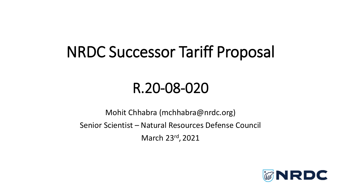## NRDC Successor Tariff Proposal

#### R.20-08-020

Mohit Chhabra (mchhabra@nrdc.org) Senior Scientist – Natural Resources Defense Council March 23rd , 2021

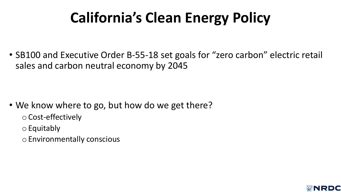# **California's Clean Energy Policy**

• SB100 and Executive Order B-55-18 set goals for "zero carbon" electric retail sales and carbon neutral economy by 2045

- We know where to go, but how do we get there?
	- o Cost-effectively
	- o Equitably
	- o Environmentally conscious

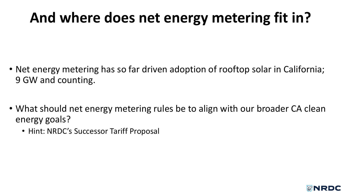### **And where does net energy metering fit in?**

- Net energy metering has so far driven adoption of rooftop solar in California; 9 GW and counting.
- What should net energy metering rules be to align with our broader CA clean energy goals?
	- Hint: NRDC's Successor Tariff Proposal

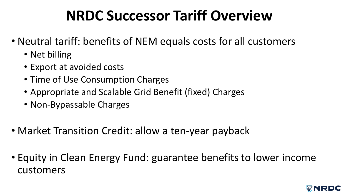### **NRDC Successor Tariff Overview**

- Neutral tariff: benefits of NEM equals costs for all customers
	- Net billing
	- Export at avoided costs
	- Time of Use Consumption Charges
	- Appropriate and Scalable Grid Benefit (fixed) Charges
	- Non-Bypassable Charges
- Market Transition Credit: allow a ten-year payback
- Equity in Clean Energy Fund: guarantee benefits to lower income customers

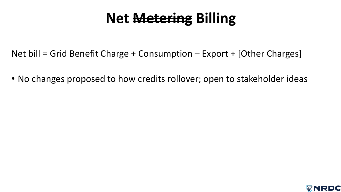#### **Net Metering Billing**

- Net bill = Grid Benefit Charge + Consumption Export + [Other Charges]
- No changes proposed to how credits rollover; open to stakeholder ideas

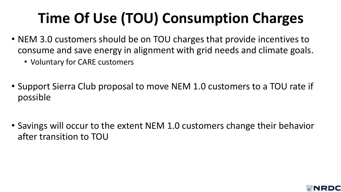# **Time Of Use (TOU) Consumption Charges**

- NEM 3.0 customers should be on TOU charges that provide incentives to consume and save energy in alignment with grid needs and climate goals.
	- Voluntary for CARE customers
- Support Sierra Club proposal to move NEM 1.0 customers to a TOU rate if possible
- Savings will occur to the extent NEM 1.0 customers change their behavior after transition to TOU

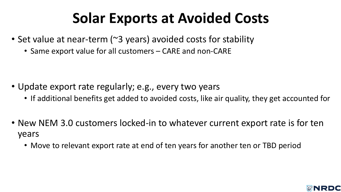### **Solar Exports at Avoided Costs**

- Set value at near-term (~3 years) avoided costs for stability
	- Same export value for all customers CARE and non-CARE

- Update export rate regularly; e.g., every two years
	- If additional benefits get added to avoided costs, like air quality, they get accounted for
- New NEM 3.0 customers locked-in to whatever current export rate is for ten years
	- Move to relevant export rate at end of ten years for another ten or TBD period

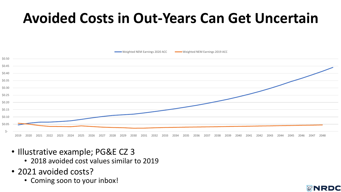### **Avoided Costs in Out-Years Can Get Uncertain**



MRDC

- Illustrative example; PG&E CZ 3
	- 2018 avoided cost values similar to 2019
- 2021 avoided costs?
	- Coming soon to your inbox!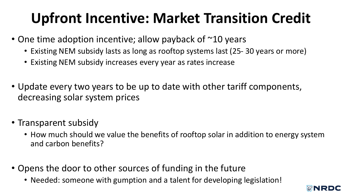# **Upfront Incentive: Market Transition Credit**

- One time adoption incentive; allow payback of ~10 years
	- Existing NEM subsidy lasts as long as rooftop systems last (25- 30 years or more)
	- Existing NEM subsidy increases every year as rates increase
- Update every two years to be up to date with other tariff components, decreasing solar system prices
- Transparent subsidy
	- How much should we value the benefits of rooftop solar in addition to energy system and carbon benefits?
- Opens the door to other sources of funding in the future
	- Needed: someone with gumption and a talent for developing legislation!

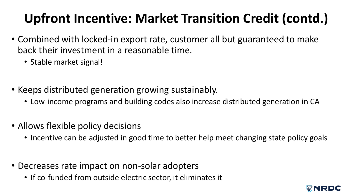### **Upfront Incentive: Market Transition Credit (contd.)**

- Combined with locked-in export rate, customer all but guaranteed to make back their investment in a reasonable time.
	- Stable market signal!
- Keeps distributed generation growing sustainably.
	- Low-income programs and building codes also increase distributed generation in CA
- Allows flexible policy decisions
	- Incentive can be adjusted in good time to better help meet changing state policy goals
- Decreases rate impact on non-solar adopters
	- If co-funded from outside electric sector, it eliminates it

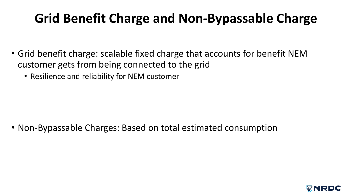#### **Grid Benefit Charge and Non-Bypassable Charge**

- Grid benefit charge: scalable fixed charge that accounts for benefit NEM customer gets from being connected to the grid
	- Resilience and reliability for NEM customer

• Non-Bypassable Charges: Based on total estimated consumption

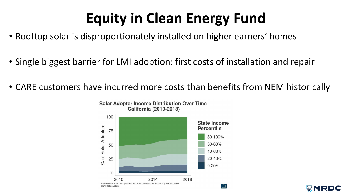## **Equity in Clean Energy Fund**

- Rooftop solar is disproportionately installed on higher earners' homes
- Single biggest barrier for LMI adoption: first costs of installation and repair
- CARE customers have incurred more costs than benefits from NEM historically



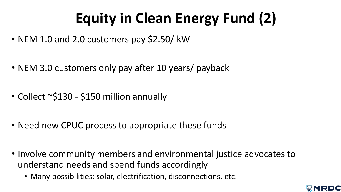# **Equity in Clean Energy Fund (2)**

- NEM 1.0 and 2.0 customers pay \$2.50/ kW
- NEM 3.0 customers only pay after 10 years/ payback
- Collect ~\$130 \$150 million annually
- Need new CPUC process to appropriate these funds
- Involve community members and environmental justice advocates to understand needs and spend funds accordingly
	- Many possibilities: solar, electrification, disconnections, etc.

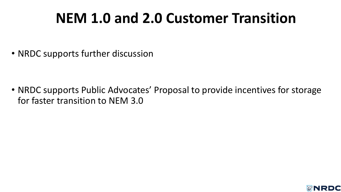### **NEM 1.0 and 2.0 Customer Transition**

• NRDC supports further discussion

• NRDC supports Public Advocates' Proposal to provide incentives for storage for faster transition to NEM 3.0

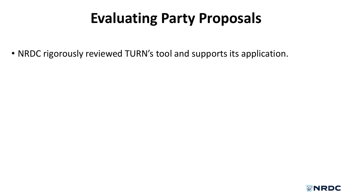## **Evaluating Party Proposals**

• NRDC rigorously reviewed TURN's tool and supports its application.